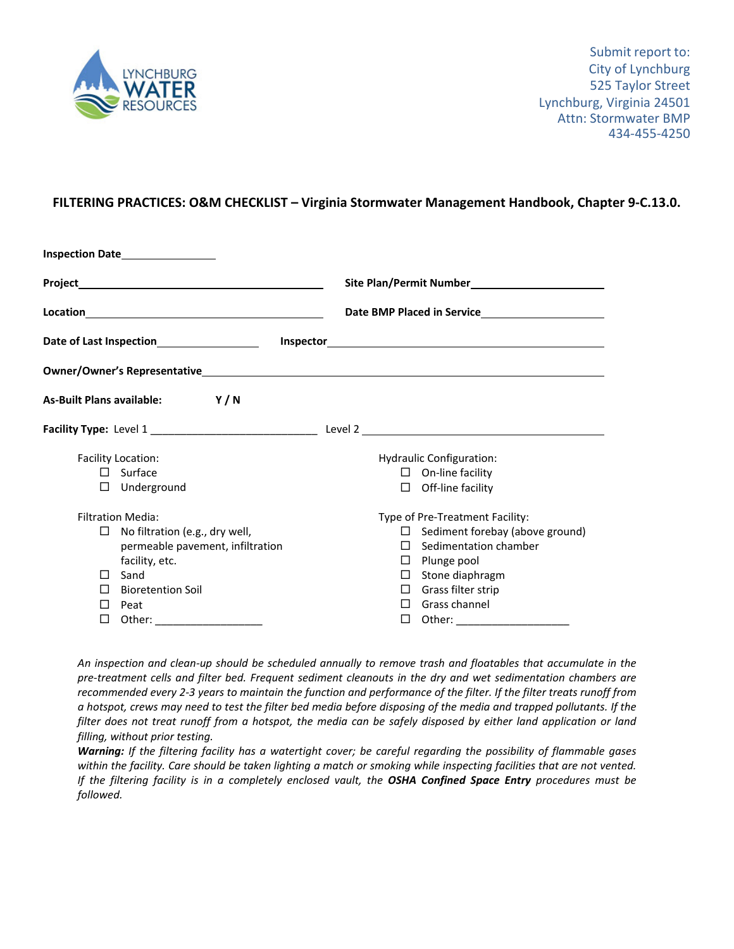

## **FILTERING PRACTICES: O&M CHECKLIST – Virginia Stormwater Management Handbook, Chapter 9‐C.13.0.**

|                          | Inspection Date___________________            |        |                                                                                                                                                                                                                                                                                                                                                                     |  |  |  |
|--------------------------|-----------------------------------------------|--------|---------------------------------------------------------------------------------------------------------------------------------------------------------------------------------------------------------------------------------------------------------------------------------------------------------------------------------------------------------------------|--|--|--|
|                          |                                               |        | Site Plan/Permit Number<br><u>Letter and the property set of the set of the set of the set of the set of the set of the set of the set of the set of the set of the set of the set of the set of the set of the set of the set of </u>                                                                                                                              |  |  |  |
|                          |                                               |        |                                                                                                                                                                                                                                                                                                                                                                     |  |  |  |
|                          | Date of Last Inspection______________________ |        | $\begin{picture}(20,10) \put(0,0){\vector(1,0){100}} \put(15,0){\vector(1,0){100}} \put(15,0){\vector(1,0){100}} \put(15,0){\vector(1,0){100}} \put(15,0){\vector(1,0){100}} \put(15,0){\vector(1,0){100}} \put(15,0){\vector(1,0){100}} \put(15,0){\vector(1,0){100}} \put(15,0){\vector(1,0){100}} \put(15,0){\vector(1,0){100}} \put(15,0){\vector(1,0){100}} \$ |  |  |  |
|                          |                                               |        |                                                                                                                                                                                                                                                                                                                                                                     |  |  |  |
|                          | As-Built Plans available: Y/N                 |        |                                                                                                                                                                                                                                                                                                                                                                     |  |  |  |
|                          |                                               |        |                                                                                                                                                                                                                                                                                                                                                                     |  |  |  |
|                          | Facility Location:                            |        | Hydraulic Configuration:                                                                                                                                                                                                                                                                                                                                            |  |  |  |
|                          | $\Box$ Surface                                |        | $\Box$ On-line facility                                                                                                                                                                                                                                                                                                                                             |  |  |  |
| □                        | Underground                                   |        | $\Box$ Off-line facility                                                                                                                                                                                                                                                                                                                                            |  |  |  |
| <b>Filtration Media:</b> |                                               |        | Type of Pre-Treatment Facility:                                                                                                                                                                                                                                                                                                                                     |  |  |  |
|                          | $\Box$ No filtration (e.g., dry well,         |        | $\Box$ Sediment forebay (above ground)                                                                                                                                                                                                                                                                                                                              |  |  |  |
|                          | permeable pavement, infiltration              |        | $\Box$ Sedimentation chamber                                                                                                                                                                                                                                                                                                                                        |  |  |  |
|                          | facility, etc.                                |        | $\Box$ Plunge pool                                                                                                                                                                                                                                                                                                                                                  |  |  |  |
| $\Box$                   | Sand                                          |        | $\square$ Stone diaphragm                                                                                                                                                                                                                                                                                                                                           |  |  |  |
| П                        | <b>Bioretention Soil</b>                      |        | $\Box$ Grass filter strip                                                                                                                                                                                                                                                                                                                                           |  |  |  |
| $\Box$                   | Peat                                          | $\Box$ | Grass channel                                                                                                                                                                                                                                                                                                                                                       |  |  |  |
| □                        | Other:                                        | □      | Other:                                                                                                                                                                                                                                                                                                                                                              |  |  |  |

An inspection and clean-up should be scheduled annually to remove trash and floatables that accumulate in the pre-treatment cells and filter bed. Frequent sediment cleanouts in the dry and wet sedimentation chambers are recommended every 2-3 years to maintain the function and performance of the filter. If the filter treats runoff from a hotspot, crews may need to test the filter bed media before disposing of the media and trapped pollutants. If the filter does not treat runoff from a hotspot, the media can be safely disposed by either land application or land *filling, without prior testing.*

Warning: If the filtering facility has a watertight cover; be careful regarding the possibility of flammable gases within the facility. Care should be taken lighting a match or smoking while inspecting facilities that are not vented. If the filtering facility is in a completely enclosed vault, the OSHA Confined Space Entry procedures must be *followed.*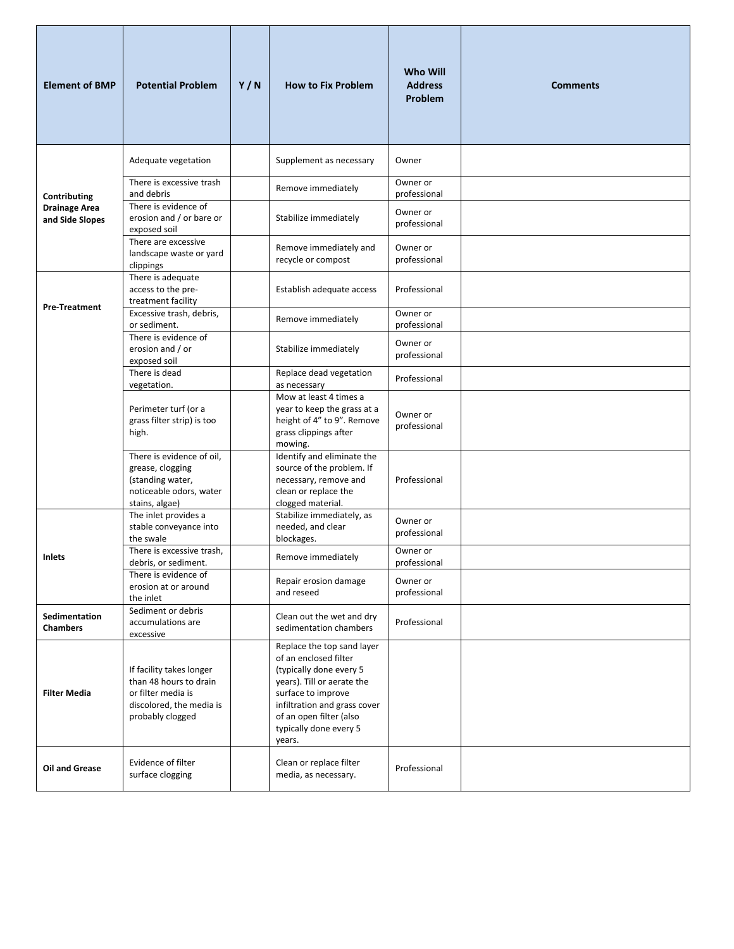| <b>Element of BMP</b>                                   | <b>Potential Problem</b>                                                                                                 | Y/N | <b>How to Fix Problem</b>                                                                                                                                                                                                         | <b>Who Will</b><br><b>Address</b><br>Problem | <b>Comments</b> |
|---------------------------------------------------------|--------------------------------------------------------------------------------------------------------------------------|-----|-----------------------------------------------------------------------------------------------------------------------------------------------------------------------------------------------------------------------------------|----------------------------------------------|-----------------|
|                                                         | Adequate vegetation                                                                                                      |     | Supplement as necessary                                                                                                                                                                                                           | Owner                                        |                 |
| Contributing<br><b>Drainage Area</b><br>and Side Slopes | There is excessive trash<br>and debris                                                                                   |     | Remove immediately                                                                                                                                                                                                                | Owner or<br>professional                     |                 |
|                                                         | There is evidence of<br>erosion and / or bare or<br>exposed soil                                                         |     | Stabilize immediately                                                                                                                                                                                                             | Owner or<br>professional                     |                 |
|                                                         | There are excessive<br>landscape waste or yard<br>clippings                                                              |     | Remove immediately and<br>recycle or compost                                                                                                                                                                                      | Owner or<br>professional                     |                 |
|                                                         | There is adequate<br>access to the pre-<br>treatment facility                                                            |     | Establish adequate access                                                                                                                                                                                                         | Professional                                 |                 |
| <b>Pre-Treatment</b>                                    | Excessive trash, debris,<br>or sediment.                                                                                 |     | Remove immediately                                                                                                                                                                                                                | Owner or<br>professional                     |                 |
|                                                         | There is evidence of<br>erosion and / or<br>exposed soil                                                                 |     | Stabilize immediately                                                                                                                                                                                                             | Owner or<br>professional                     |                 |
|                                                         | There is dead<br>vegetation.                                                                                             |     | Replace dead vegetation<br>as necessary                                                                                                                                                                                           | Professional                                 |                 |
|                                                         | Perimeter turf (or a<br>grass filter strip) is too<br>high.                                                              |     | Mow at least 4 times a<br>year to keep the grass at a<br>height of 4" to 9". Remove<br>grass clippings after<br>mowing.                                                                                                           | Owner or<br>professional                     |                 |
|                                                         | There is evidence of oil,<br>grease, clogging<br>(standing water,<br>noticeable odors, water<br>stains, algae)           |     | Identify and eliminate the<br>source of the problem. If<br>necessary, remove and<br>clean or replace the<br>clogged material.                                                                                                     | Professional                                 |                 |
| Inlets                                                  | The inlet provides a<br>stable conveyance into<br>the swale                                                              |     | Stabilize immediately, as<br>needed, and clear<br>blockages.                                                                                                                                                                      | Owner or<br>professional                     |                 |
|                                                         | There is excessive trash,<br>debris, or sediment.                                                                        |     | Remove immediately                                                                                                                                                                                                                | Owner or<br>professional                     |                 |
|                                                         | There is evidence of<br>erosion at or around<br>the inlet                                                                |     | Repair erosion damage<br>and reseed                                                                                                                                                                                               | Owner or<br>professional                     |                 |
| Sedimentation<br><b>Chambers</b>                        | Sediment or debris<br>accumulations are<br>excessive                                                                     |     | Clean out the wet and dry<br>sedimentation chambers                                                                                                                                                                               | Professional                                 |                 |
| <b>Filter Media</b>                                     | If facility takes longer<br>than 48 hours to drain<br>or filter media is<br>discolored, the media is<br>probably clogged |     | Replace the top sand layer<br>of an enclosed filter<br>(typically done every 5<br>years). Till or aerate the<br>surface to improve<br>infiltration and grass cover<br>of an open filter (also<br>typically done every 5<br>years. |                                              |                 |
| Oil and Grease                                          | Evidence of filter<br>surface clogging                                                                                   |     | Clean or replace filter<br>media, as necessary.                                                                                                                                                                                   | Professional                                 |                 |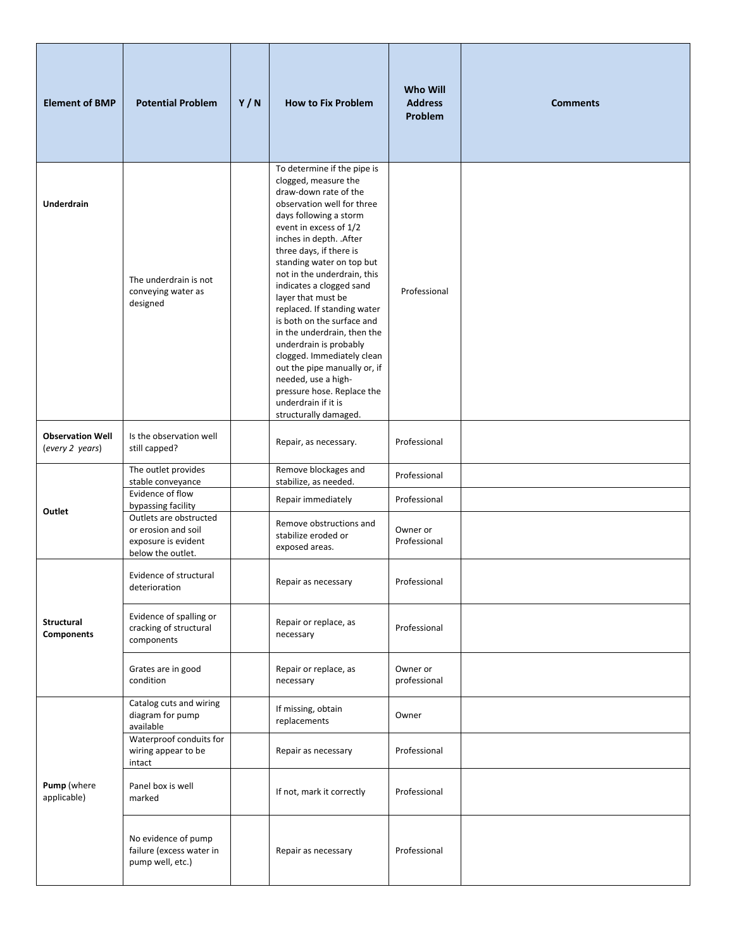| <b>Element of BMP</b>                      | <b>Potential Problem</b>                                                                  | Y/N | <b>How to Fix Problem</b>                                                                                                                                                                                                                                                                                                                                                                                                                                                                                                                                                                                                    | <b>Who Will</b><br><b>Address</b><br><b>Problem</b> | <b>Comments</b> |
|--------------------------------------------|-------------------------------------------------------------------------------------------|-----|------------------------------------------------------------------------------------------------------------------------------------------------------------------------------------------------------------------------------------------------------------------------------------------------------------------------------------------------------------------------------------------------------------------------------------------------------------------------------------------------------------------------------------------------------------------------------------------------------------------------------|-----------------------------------------------------|-----------------|
| <b>Underdrain</b>                          | The underdrain is not<br>conveying water as<br>designed                                   |     | To determine if the pipe is<br>clogged, measure the<br>draw-down rate of the<br>observation well for three<br>days following a storm<br>event in excess of 1/2<br>inches in depth. . After<br>three days, if there is<br>standing water on top but<br>not in the underdrain, this<br>indicates a clogged sand<br>layer that must be<br>replaced. If standing water<br>is both on the surface and<br>in the underdrain, then the<br>underdrain is probably<br>clogged. Immediately clean<br>out the pipe manually or, if<br>needed, use a high-<br>pressure hose. Replace the<br>underdrain if it is<br>structurally damaged. | Professional                                        |                 |
| <b>Observation Well</b><br>(every 2 years) | Is the observation well<br>still capped?                                                  |     | Repair, as necessary.                                                                                                                                                                                                                                                                                                                                                                                                                                                                                                                                                                                                        | Professional                                        |                 |
|                                            | The outlet provides<br>stable conveyance                                                  |     | Remove blockages and<br>stabilize, as needed.                                                                                                                                                                                                                                                                                                                                                                                                                                                                                                                                                                                | Professional                                        |                 |
|                                            | Evidence of flow<br>bypassing facility                                                    |     | Repair immediately                                                                                                                                                                                                                                                                                                                                                                                                                                                                                                                                                                                                           | Professional                                        |                 |
| Outlet                                     | Outlets are obstructed<br>or erosion and soil<br>exposure is evident<br>below the outlet. |     | Remove obstructions and<br>stabilize eroded or<br>exposed areas.                                                                                                                                                                                                                                                                                                                                                                                                                                                                                                                                                             | Owner or<br>Professional                            |                 |
| <b>Structural</b><br>Components            | Evidence of structural<br>deterioration                                                   |     | Repair as necessary                                                                                                                                                                                                                                                                                                                                                                                                                                                                                                                                                                                                          | Professional                                        |                 |
|                                            | Evidence of spalling or<br>cracking of structural<br>components                           |     | Repair or replace, as<br>necessary                                                                                                                                                                                                                                                                                                                                                                                                                                                                                                                                                                                           | Professional                                        |                 |
|                                            | Grates are in good<br>condition                                                           |     | Repair or replace, as<br>necessary                                                                                                                                                                                                                                                                                                                                                                                                                                                                                                                                                                                           | Owner or<br>professional                            |                 |
| Pump (where<br>applicable)                 | Catalog cuts and wiring<br>diagram for pump<br>available                                  |     | If missing, obtain<br>replacements                                                                                                                                                                                                                                                                                                                                                                                                                                                                                                                                                                                           | Owner                                               |                 |
|                                            | Waterproof conduits for<br>wiring appear to be<br>intact                                  |     | Repair as necessary                                                                                                                                                                                                                                                                                                                                                                                                                                                                                                                                                                                                          | Professional                                        |                 |
|                                            | Panel box is well<br>marked                                                               |     | If not, mark it correctly                                                                                                                                                                                                                                                                                                                                                                                                                                                                                                                                                                                                    | Professional                                        |                 |
|                                            | No evidence of pump<br>failure (excess water in<br>pump well, etc.)                       |     | Repair as necessary                                                                                                                                                                                                                                                                                                                                                                                                                                                                                                                                                                                                          | Professional                                        |                 |